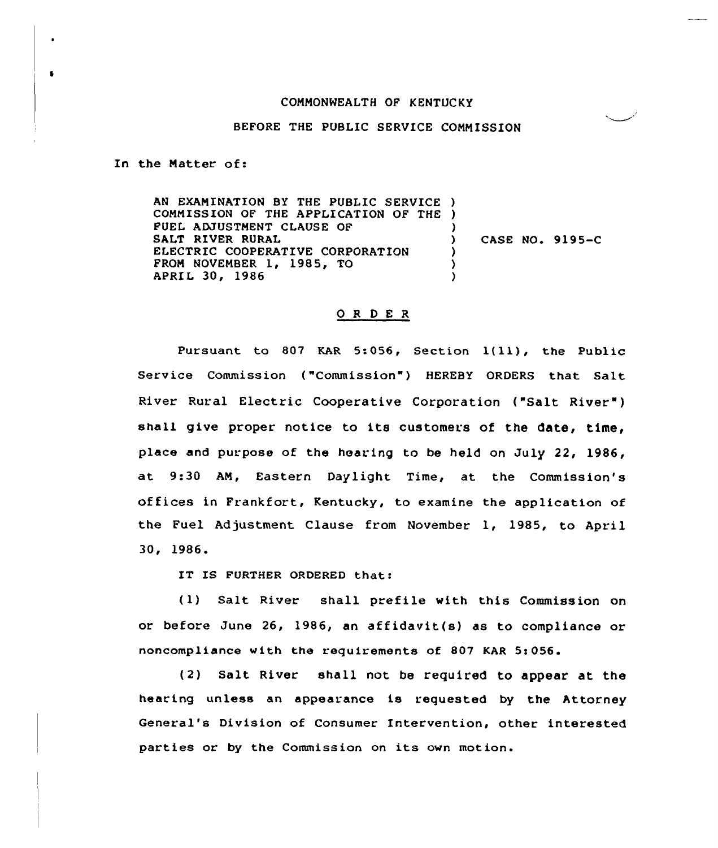## CONNONWEALTH OF KENTUCKY

## BEFORE THE PUBLIC SERVICE COMMISSION

In the Natter of:

 $\bullet$ 

AN EXANINATION BY THE PUBLIC SERVICE ) CONNISSION OF THE APPLICATION OF THE ) FUEI ADJUSTNENT CLAUSE OF SALT RIVER RURAL ELECTRIC COOPERATIVE CORPORATION FRON NOVENBER 1, 1985, TO APRIl 30, 1986 ) ) CASE NO. 9195-C ) ) )

## 0 <sup>R</sup> <sup>D</sup> E <sup>R</sup>

Pursuant to <sup>807</sup> EAR 5:056, Section l(ll), the Public Service Commission ("Commission") HEREBY ORDERS that Salt River Rural Electric Cooperative Corporation ("Salt River" ) shall give proper notice to its customers of the date, time, place and purpose of the hearing to be held on July 22, 1986, at 9:30 AN, Eastern Daylight Time, at the Commission's offices in Frankfort, Kentucky, to examine the application of the Fuel Adjustment Clause from November 1, 1985, to April 30, 1986.

IT IS FURTHER ORDERED that:

(1) Salt River shall prefile with this Commission on or before June 26, 1986, an affidavit(s) as to compliance or noncompliance with the requirements of 807 KAR 5i056.

(2) Salt River shall not be required to appear at the hearing unless an appearance is requested by the Attorney General's Division of Consumer Intervention, other interested parties or by the Commission on its own motion.